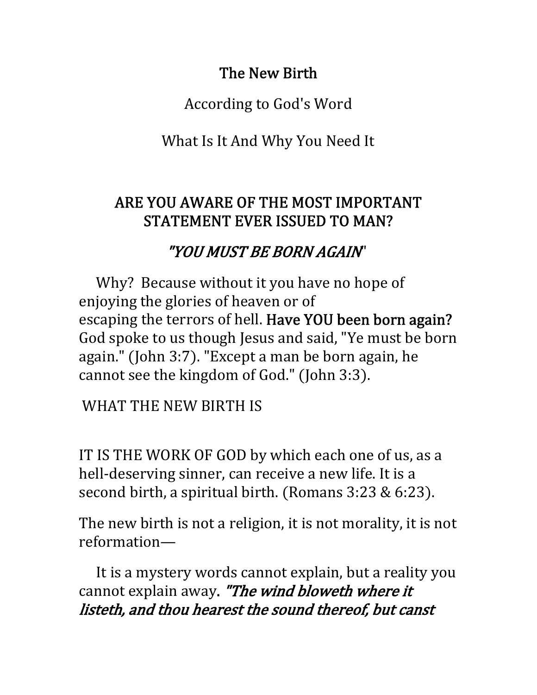### The New Birth

According to God's Word 

What Is It And Why You Need It

#### ARE YOU AWARE OF THE MOST IMPORTANT STATEMENT EVER ISSUED TO MAN?

## "YOU MUST BE BORN AGAIN"

Why? Because without it you have no hope of enjoying the glories of heaven or of escaping the terrors of hell. Have YOU been born again? God spoke to us though Jesus and said, "Ye must be born again." (John 3:7). "Except a man be born again, he cannot see the kingdom of God." (John 3:3).

WHAT THE NEW BIRTH IS

IT IS THE WORK OF GOD by which each one of us, as a hell-deserving sinner, can receive a new life. It is a second birth, a spiritual birth. (Romans  $3:23 \& 6:23$ ).

The new birth is not a religion, it is not morality, it is not reformation—

 It is a mystery words cannot explain, but a reality you cannot explain away. "The wind bloweth where it listeth, and thou hearest the sound thereof, but canst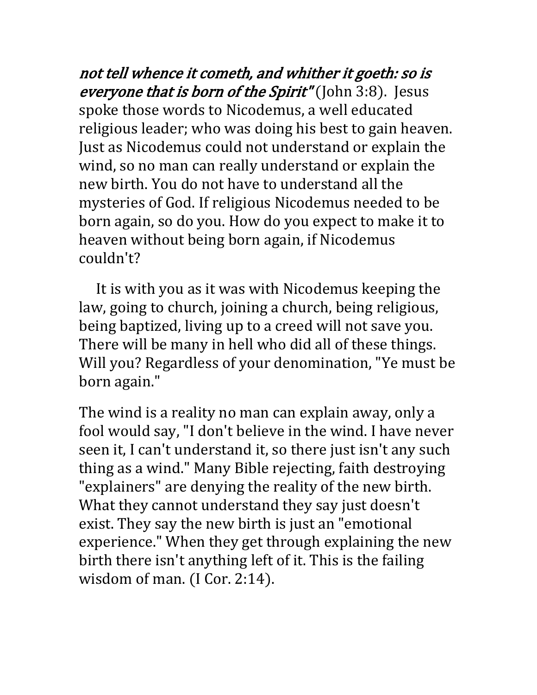not tell whence it cometh, and whither it goeth: so is everyone that is born of the Spirit" (John 3:8). Jesus spoke those words to Nicodemus, a well educated religious leader; who was doing his best to gain heaven. Just as Nicodemus could not understand or explain the wind, so no man can really understand or explain the new birth. You do not have to understand all the mysteries of God. If religious Nicodemus needed to be born again, so do you. How do you expect to make it to heaven without being born again, if Nicodemus couldn't? 

 It is with you as it was with Nicodemus keeping the law, going to church, joining a church, being religious, being baptized, living up to a creed will not save you. There will be many in hell who did all of these things. Will you? Regardless of your denomination, "Ye must be born again." 

The wind is a reality no man can explain away, only a fool would say, "I don't believe in the wind. I have never seen it, I can't understand it, so there just isn't any such thing as a wind." Many Bible rejecting, faith destroying "explainers" are denying the reality of the new birth. What they cannot understand they say just doesn't exist. They say the new birth is just an "emotional experience." When they get through explaining the new birth there isn't anything left of it. This is the failing wisdom of man.  $(I Cor. 2:14)$ .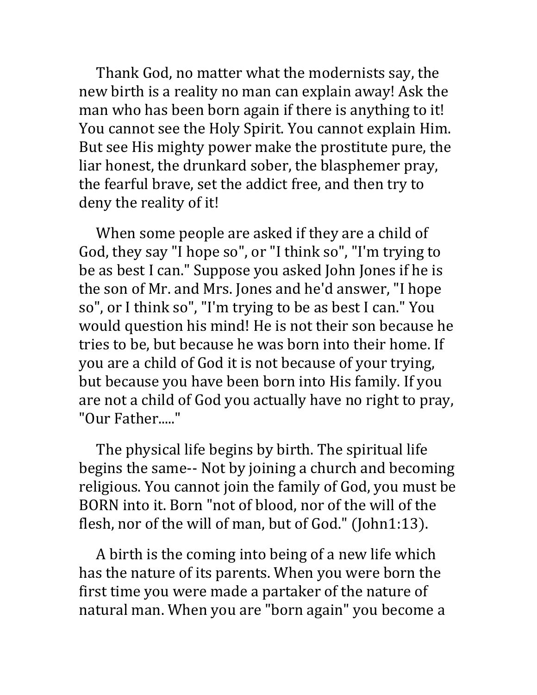Thank God, no matter what the modernists say, the new birth is a reality no man can explain away! Ask the man who has been born again if there is anything to it! You cannot see the Holy Spirit. You cannot explain Him. But see His mighty power make the prostitute pure, the liar honest, the drunkard sober, the blasphemer pray, the fearful brave, set the addict free, and then try to deny the reality of it! 

 When some people are asked if they are a child of God, they say "I hope so", or "I think so", "I'm trying to be as best I can." Suppose you asked John Jones if he is the son of Mr. and Mrs. Jones and he'd answer, "I hope so", or I think so", "I'm trying to be as best I can." You would question his mind! He is not their son because he tries to be, but because he was born into their home. If you are a child of God it is not because of your trying, but because you have been born into His family. If you are not a child of God you actually have no right to pray, "Our Father....."

 The physical life begins by birth. The spiritual life begins the same-- Not by joining a church and becoming religious. You cannot join the family of God, you must be BORN into it. Born "not of blood, nor of the will of the flesh, nor of the will of man, but of God." (John $1:13$ ).

 A birth is the coming into being of a new life which has the nature of its parents. When you were born the first time you were made a partaker of the nature of natural man. When you are "born again" you become a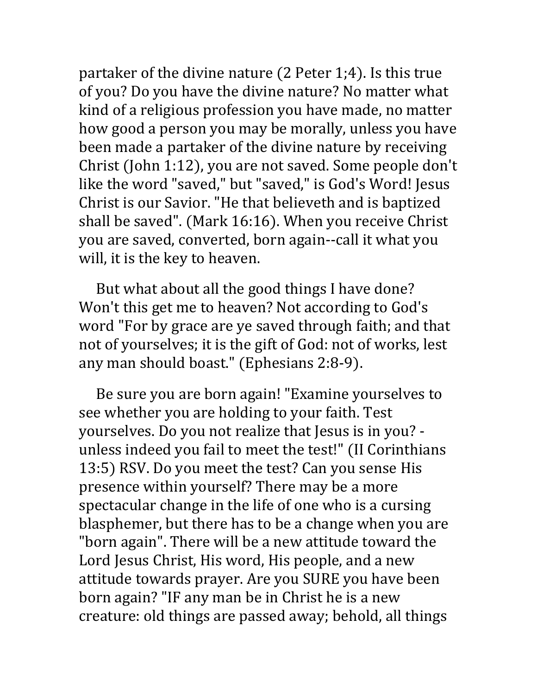partaker of the divine nature  $(2$  Peter 1;4). Is this true of you? Do you have the divine nature? No matter what kind of a religious profession you have made, no matter how good a person you may be morally, unless you have been made a partaker of the divine nature by receiving Christ (John 1:12), you are not saved. Some people don't like the word "saved," but "saved," is God's Word! Jesus Christ is our Savior. "He that believeth and is baptized shall be saved". (Mark 16:16). When you receive Christ you are saved, converted, born again‐‐call it what you will, it is the key to heaven.

 But what about all the good things I have done? Won't this get me to heaven? Not according to God's word "For by grace are ye saved through faith; and that not of yourselves; it is the gift of God: not of works, lest any man should boast." (Ephesians 2:8-9).

 Be sure you are born again! "Examine yourselves to see whether you are holding to your faith. Test yourselves. Do you not realize that Jesus is in you? ‐ unless indeed you fail to meet the test!" (II Corinthians 13:5) RSV. Do you meet the test? Can you sense His presence within yourself? There may be a more spectacular change in the life of one who is a cursing blasphemer, but there has to be a change when you are "born again". There will be a new attitude toward the Lord Jesus Christ, His word, His people, and a new attitude towards prayer. Are you SURE you have been born again? "IF any man be in Christ he is a new creature: old things are passed away; behold, all things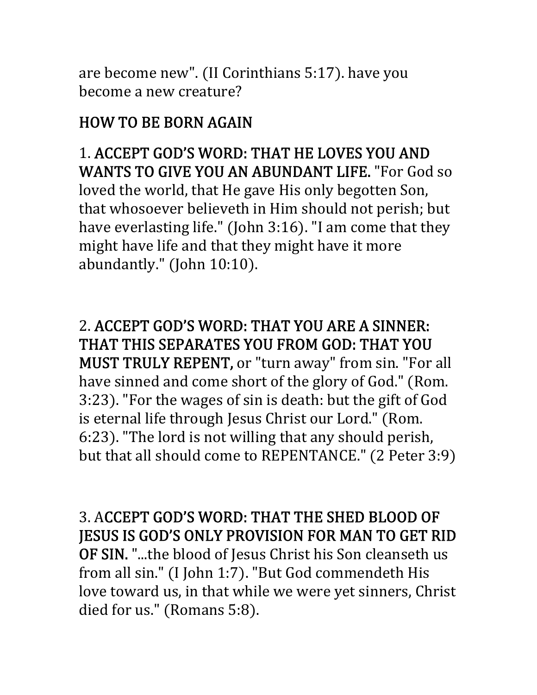are become new". (II Corinthians  $5:17$ ). have you become a new creature? 

# HOW TO BE BORN AGAIN

1. ACCEPT GOD'S WORD: THAT HE LOVES YOU AND WANTS TO GIVE YOU AN ABUNDANT LIFE. "For God so loved the world, that He gave His only begotten Son, that whosoever believeth in Him should not perish; but have everlasting life." (John 3:16). "I am come that they might have life and that they might have it more abundantly." (John  $10:10$ ).

2. ACCEPT GOD'S WORD: THAT YOU ARE A SINNER: THAT THIS SEPARATES YOU FROM GOD: THAT YOU **MUST TRULY REPENT, or "turn away" from sin. "For all** have sinned and come short of the glory of God." (Rom. 3:23). "For the wages of sin is death: but the gift of God is eternal life through Jesus Christ our Lord." (Rom. 6:23). "The lord is not willing that any should perish, but that all should come to REPENTANCE." (2 Peter 3:9)

3. ACCEPT GOD'S WORD: THAT THE SHED BLOOD OF **JESUS IS GOD'S ONLY PROVISION FOR MAN TO GET RID** 

OF SIN. "...the blood of Jesus Christ his Son cleanseth us from all sin." (I John 1:7). "But God commendeth His love toward us, in that while we were yet sinners, Christ died for us." (Romans  $5:8$ ).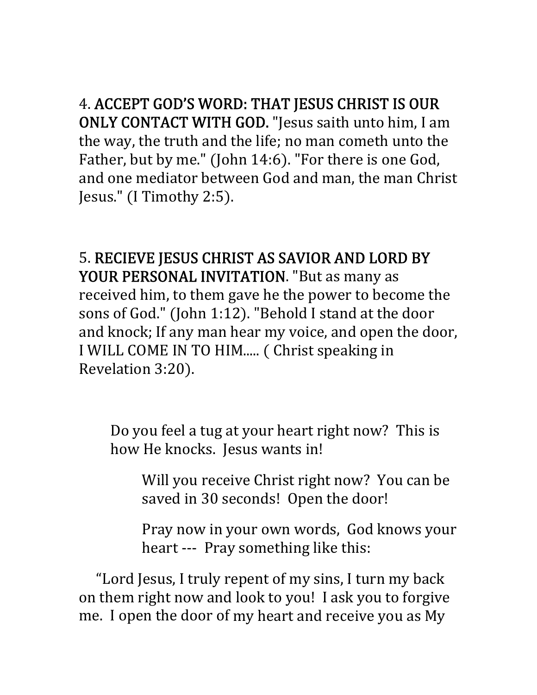4. ACCEPT GOD'S WORD: THAT JESUS CHRIST IS OUR ONLY CONTACT WITH GOD. "Jesus saith unto him, I am the way, the truth and the life; no man cometh unto the Father, but by me." (John 14:6). "For there is one God, and one mediator between God and man, the man Christ Jesus." (I Timothy 2:5).

5. RECIEVE JESUS CHRIST AS SAVIOR AND LORD BY YOUR PERSONAL INVITATION. "But as many as received him, to them gave he the power to become the sons of God." (John 1:12). "Behold I stand at the door and knock; If any man hear my voice, and open the door, I WILL COME IN TO HIM..... ( Christ speaking in Revelation 3:20).

Do you feel a tug at your heart right now? This is how He knocks. Jesus wants in!

Will you receive Christ right now? You can be saved in 30 seconds! Open the door!

Pray now in your own words, God knows your heart --- Pray something like this:

 "Lord Jesus, I truly repent of my sins, I turn my back on them right now and look to you! I ask you to forgive me. I open the door of my heart and receive you as My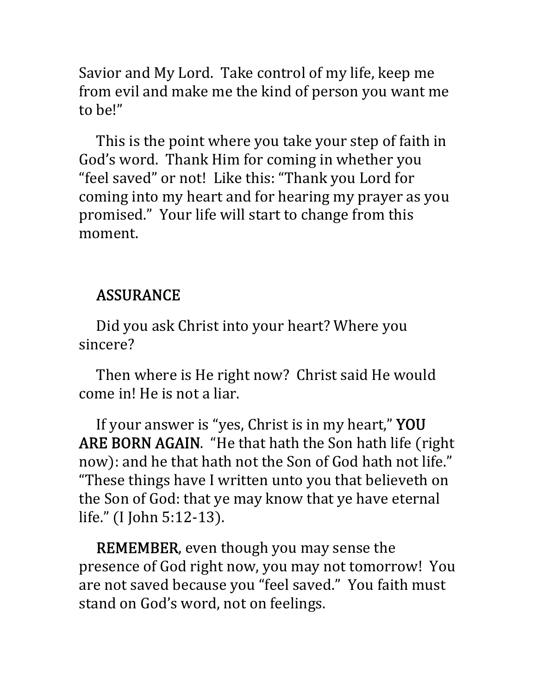Savior and My Lord. Take control of my life, keep me from evil and make me the kind of person you want me to be!"

 This is the point where you take your step of faith in God's word. Thank Him for coming in whether you "feel saved" or not! Like this: "Thank you Lord for coming into my heart and for hearing my prayer as you promised." Your life will start to change from this moment.

### ASSURANCE

 Did you ask Christ into your heart? Where you sincere?

Then where is He right now? Christ said He would come in! He is not a liar.

 If your answer is "yes, Christ is in my heart," YOU ARE BORN AGAIN. "He that hath the Son hath life (right now): and he that hath not the Son of God hath not life." "These things have I written unto you that believeth on the Son of God: that ye may know that ye have eternal life." (I John 5:12-13).

 REMEMBER, even though you may sense the presence of God right now, you may not tomorrow! You are not saved because you "feel saved." You faith must stand on God's word, not on feelings.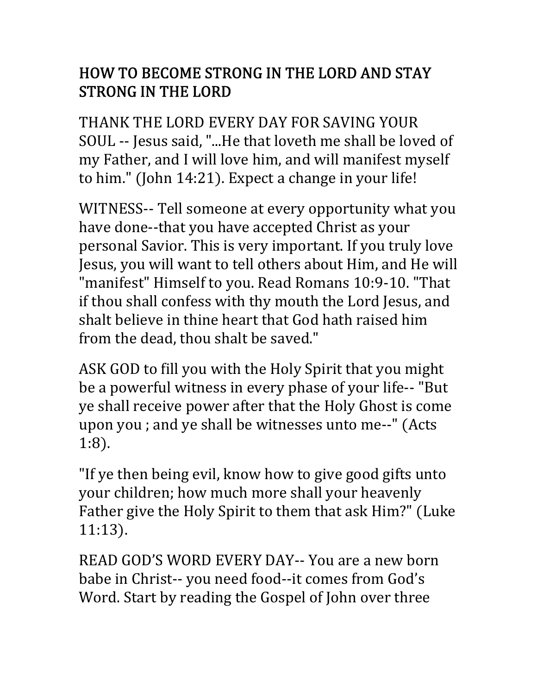### HOW TO BECOME STRONG IN THE LORD AND STAY STRONG IN THE LORD

THANK THE LORD EVERY DAY FOR SAVING YOUR SOUL -- Jesus said, "...He that loveth me shall be loved of my Father, and I will love him, and will manifest myself to him." (John 14:21). Expect a change in your life!

WITNESS-- Tell someone at every opportunity what you have done--that you have accepted Christ as your personal Savior. This is very important. If you truly love Jesus, you will want to tell others about Him, and He will "manifest" Himself to you. Read Romans 10:9‐10. "That if thou shall confess with thy mouth the Lord Jesus, and shalt believe in thine heart that God hath raised him from the dead, thou shalt be saved."

ASK GOD to fill you with the Holy Spirit that you might be a powerful witness in every phase of your life-- "But ye shall receive power after that the Holy Ghost is come upon you ; and ye shall be witnesses unto me--" (Acts  $1:8$ ).

"If ye then being evil, know how to give good gifts unto your children; how much more shall your heavenly Father give the Holy Spirit to them that ask Him?" (Luke 11:13).

READ GOD'S WORD EVERY DAY-- You are a new born babe in Christ-- you need food--it comes from God's Word. Start by reading the Gospel of John over three